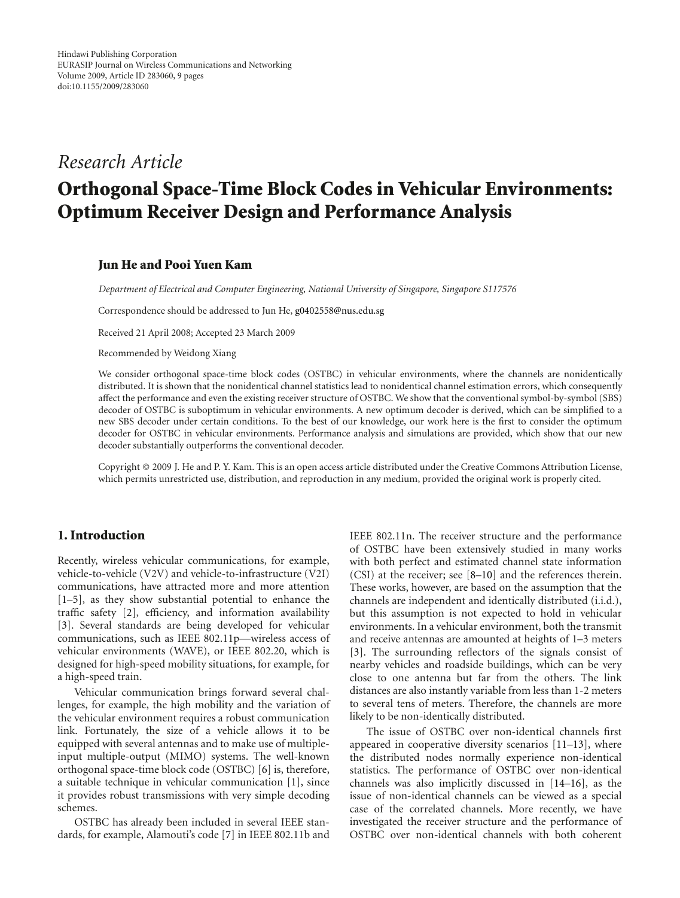# *Research Article*

# **Orthogonal Space-Time Block Codes in Vehicular Environments: Optimum Receiver Design and Performance Analysis**

# **Jun He and Pooi Yuen Kam**

*Department of Electrical and Computer Engineering, National University of Singapore, Singapore S117576*

Correspondence should be addressed to Jun He, g0402558@nus.edu.sg

Received 21 April 2008; Accepted 23 March 2009

Recommended by Weidong Xiang

We consider orthogonal space-time block codes (OSTBC) in vehicular environments, where the channels are nonidentically distributed. It is shown that the nonidentical channel statistics lead to nonidentical channel estimation errors, which consequently affect the performance and even the existing receiver structure of OSTBC. We show that the conventional symbol-by-symbol (SBS) decoder of OSTBC is suboptimum in vehicular environments. A new optimum decoder is derived, which can be simplified to a new SBS decoder under certain conditions. To the best of our knowledge, our work here is the first to consider the optimum decoder for OSTBC in vehicular environments. Performance analysis and simulations are provided, which show that our new decoder substantially outperforms the conventional decoder.

Copyright © 2009 J. He and P. Y. Kam. This is an open access article distributed under the Creative Commons Attribution License, which permits unrestricted use, distribution, and reproduction in any medium, provided the original work is properly cited.

# **1. Introduction**

Recently, wireless vehicular communications, for example, vehicle-to-vehicle (V2V) and vehicle-to-infrastructure (V2I) communications, have attracted more and more attention [1–5], as they show substantial potential to enhance the traffic safety [2], efficiency, and information availability [3]. Several standards are being developed for vehicular communications, such as IEEE 802.11p—wireless access of vehicular environments (WAVE), or IEEE 802.20, which is designed for high-speed mobility situations, for example, for a high-speed train.

Vehicular communication brings forward several challenges, for example, the high mobility and the variation of the vehicular environment requires a robust communication link. Fortunately, the size of a vehicle allows it to be equipped with several antennas and to make use of multipleinput multiple-output (MIMO) systems. The well-known orthogonal space-time block code (OSTBC) [6] is, therefore, a suitable technique in vehicular communication [1], since it provides robust transmissions with very simple decoding schemes.

OSTBC has already been included in several IEEE standards, for example, Alamouti's code [7] in IEEE 802.11b and IEEE 802.11n. The receiver structure and the performance of OSTBC have been extensively studied in many works with both perfect and estimated channel state information (CSI) at the receiver; see [8–10] and the references therein. These works, however, are based on the assumption that the channels are independent and identically distributed (i.i.d.), but this assumption is not expected to hold in vehicular environments. In a vehicular environment, both the transmit and receive antennas are amounted at heights of 1–3 meters [3]. The surrounding reflectors of the signals consist of nearby vehicles and roadside buildings, which can be very close to one antenna but far from the others. The link distances are also instantly variable from less than 1-2 meters to several tens of meters. Therefore, the channels are more likely to be non-identically distributed.

The issue of OSTBC over non-identical channels first appeared in cooperative diversity scenarios [11–13], where the distributed nodes normally experience non-identical statistics. The performance of OSTBC over non-identical channels was also implicitly discussed in [14–16], as the issue of non-identical channels can be viewed as a special case of the correlated channels. More recently, we have investigated the receiver structure and the performance of OSTBC over non-identical channels with both coherent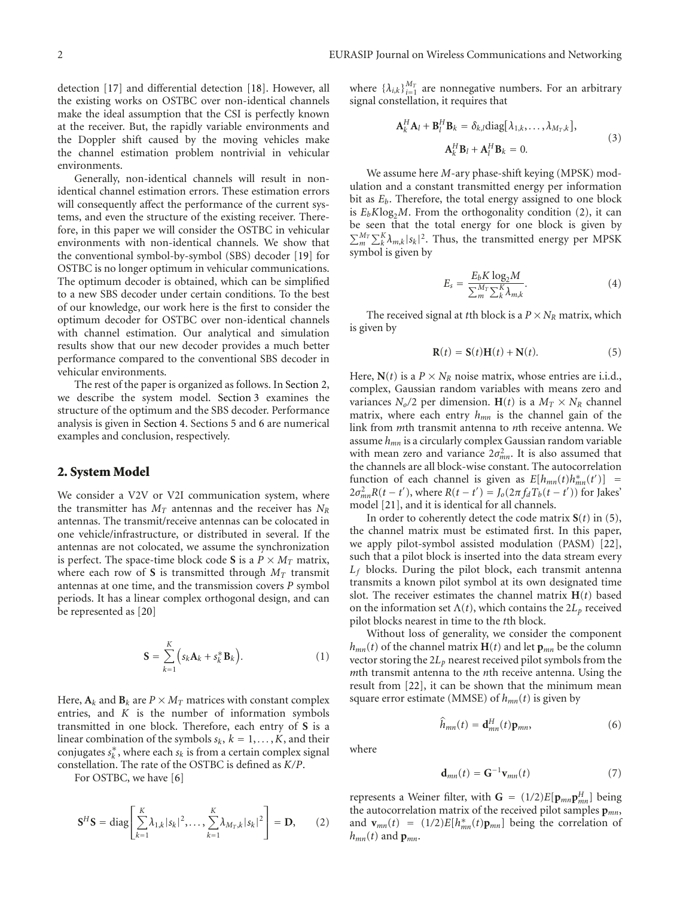detection [17] and differential detection [18]. However, all the existing works on OSTBC over non-identical channels make the ideal assumption that the CSI is perfectly known at the receiver. But, the rapidly variable environments and the Doppler shift caused by the moving vehicles make the channel estimation problem nontrivial in vehicular environments.

Generally, non-identical channels will result in nonidentical channel estimation errors. These estimation errors will consequently affect the performance of the current systems, and even the structure of the existing receiver. Therefore, in this paper we will consider the OSTBC in vehicular environments with non-identical channels. We show that the conventional symbol-by-symbol (SBS) decoder [19] for OSTBC is no longer optimum in vehicular communications. The optimum decoder is obtained, which can be simplified to a new SBS decoder under certain conditions. To the best of our knowledge, our work here is the first to consider the optimum decoder for OSTBC over non-identical channels with channel estimation. Our analytical and simulation results show that our new decoder provides a much better performance compared to the conventional SBS decoder in vehicular environments.

The rest of the paper is organized as follows. In Section 2, we describe the system model. Section 3 examines the structure of the optimum and the SBS decoder. Performance analysis is given in Section 4. Sections 5 and 6 are numerical examples and conclusion, respectively.

# **2. System Model**

We consider a V2V or V2I communication system, where the transmitter has  $M_T$  antennas and the receiver has  $N_R$ antennas. The transmit/receive antennas can be colocated in one vehicle/infrastructure, or distributed in several. If the antennas are not colocated, we assume the synchronization is perfect. The space-time block code **S** is a  $P \times M_T$  matrix, where each row of **S** is transmitted through  $M_T$  transmit antennas at one time, and the transmission covers *P* symbol periods. It has a linear complex orthogonal design, and can be represented as [20]

$$
\mathbf{S} = \sum_{k=1}^{K} \Big( s_k \mathbf{A}_k + s_k^* \mathbf{B}_k \Big). \tag{1}
$$

Here,  $A_k$  and  $B_k$  are  $P \times M_T$  matrices with constant complex entries, and *K* is the number of information symbols transmitted in one block. Therefore, each entry of **S** is a linear combination of the symbols  $s_k$ ,  $k = 1, \ldots, K$ , and their conjugates  $s_k^*$ , where each  $s_k$  is from a certain complex signal constellation. The rate of the OSTBC is defined as *K/P*.

For OSTBC, we have [6]

$$
\mathbf{S}^{H}\mathbf{S} = \text{diag}\left[\sum_{k=1}^{K} \lambda_{1,k} |s_{k}|^{2}, \ldots, \sum_{k=1}^{K} \lambda_{M_{T},k} |s_{k}|^{2}\right] = \mathbf{D}, \qquad (2)
$$

where  $\{\lambda_{i,k}\}_{i=1}^{M_T}$  are nonnegative numbers. For an arbitrary signal constellation, it requires that

$$
\mathbf{A}_{k}^{H} \mathbf{A}_{l} + \mathbf{B}_{l}^{H} \mathbf{B}_{k} = \delta_{k,l} \text{diag} [\lambda_{1,k}, \dots, \lambda_{M_{T},k}],
$$
  

$$
\mathbf{A}_{k}^{H} \mathbf{B}_{l} + \mathbf{A}_{l}^{H} \mathbf{B}_{k} = 0.
$$
 (3)

We assume here *M*-ary phase-shift keying (MPSK) modulation and a constant transmitted energy per information bit as *Eb*. Therefore, the total energy assigned to one block is  $E_b K \log_2 M$ . From the orthogonality condition (2), it can be seen that the total energy for one block is given by  $\sum_{m}^{M_T} \sum_{k}^{K} \lambda_{m,k} |s_k|^2$ . Thus, the transmitted energy per MPSK symbol is given by

$$
E_s = \frac{E_b K \log_2 M}{\sum_{m}^{M_T} \sum_{k}^{K} \lambda_{m,k}}.
$$
 (4)

The received signal at *t*th block is a  $P \times N_R$  matrix, which is given by

$$
\mathbf{R}(t) = \mathbf{S}(t)\mathbf{H}(t) + \mathbf{N}(t). \tag{5}
$$

Here,  $N(t)$  is a  $P \times N_R$  noise matrix, whose entries are i.i.d., complex, Gaussian random variables with means zero and variances  $N_o/2$  per dimension. **H**(*t*) is a  $M_T \times N_R$  channel matrix, where each entry  $h_{mn}$  is the channel gain of the link from *m*th transmit antenna to *n*th receive antenna. We assume *hmn* is a circularly complex Gaussian random variable with mean zero and variance  $2\sigma_{mn}^2$ . It is also assumed that the channels are all block-wise constant. The autocorrelation function of each channel is given as  $E[h_{mn}(t)h_{mn}^*(t')]$  $2σ<sup>2</sup><sub>mn</sub>R(t − t<sup>'</sup>)$ , where *R*(*t* − *t'*) = *J*<sub>o</sub>(2π *f*<sub>d</sub> *T*<sub>b</sub>(*t* − *t'*)) for Jakes<sup>'</sup> model [21], and it is identical for all channels.

In order to coherently detect the code matrix  $S(t)$  in (5), the channel matrix must be estimated first. In this paper, we apply pilot-symbol assisted modulation (PASM) [22], such that a pilot block is inserted into the data stream every *Lf* blocks. During the pilot block, each transmit antenna transmits a known pilot symbol at its own designated time slot. The receiver estimates the channel matrix **H**(*t*) based on the information set  $\Lambda(t)$ , which contains the  $2L<sub>p</sub>$  received pilot blocks nearest in time to the *t*th block.

Without loss of generality, we consider the component  $h_{mn}(t)$  of the channel matrix **H**(*t*) and let  $\mathbf{p}_{mn}$  be the column vector storing the 2*Lp* nearest received pilot symbols from the *m*th transmit antenna to the *n*th receive antenna. Using the result from [22], it can be shown that the minimum mean square error estimate (MMSE) of  $h_{mn}(t)$  is given by

$$
\widehat{h}_{mn}(t) = \mathbf{d}_{mn}^H(t)\mathbf{p}_{mn},\tag{6}
$$

where

$$
\mathbf{d}_{mn}(t) = \mathbf{G}^{-1}\mathbf{v}_{mn}(t) \tag{7}
$$

represents a Weiner filter, with  $G = (1/2)E[p_{mn}p_{mn}^H]$  being the autocorrelation matrix of the received pilot samples **p***mn*, and  $\mathbf{v}_{mn}(t) = (1/2)E[h_{mn}^*(t)\mathbf{p}_{mn}]$  being the correlation of  $h_{mn}(t)$  and  $p_{mn}$ .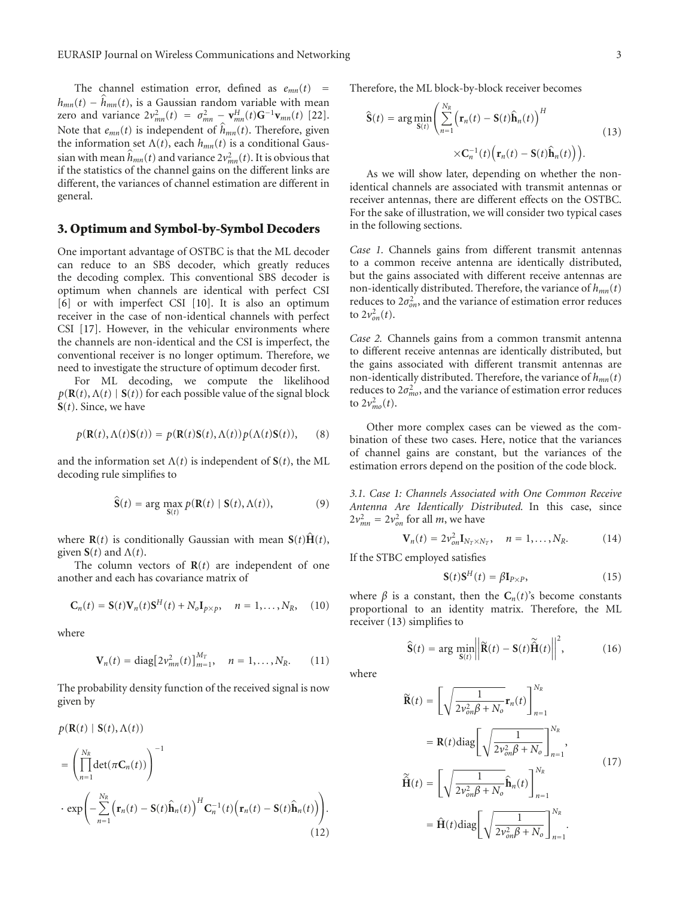The channel estimation error, defined as  $e_{mn}(t)$  =  $h_{mn}(t) - h_{mn}(t)$ , is a Gaussian random variable with mean zero and variance  $2v_{mn}^2(t) = \sigma_{mn}^2 - v_{mn}^H(t)G^{-1}v_{mn}(t)$  [22]. Note that  $e_{mn}(t)$  is independent of  $h_{mn}(t)$ . Therefore, given the information set  $\Lambda(t)$ , each  $h_{mn}(t)$  is a conditional Gaussian with mean  $\hat{h}_{mn}(t)$  and variance  $2v_{mn}^2(t)$ . It is obvious that if the statistics of the channel gains on the different links are different, the variances of channel estimation are different in general.

#### **3. Optimum and Symbol-by-Symbol Decoders**

One important advantage of OSTBC is that the ML decoder can reduce to an SBS decoder, which greatly reduces the decoding complex. This conventional SBS decoder is optimum when channels are identical with perfect CSI [6] or with imperfect CSI [10]. It is also an optimum receiver in the case of non-identical channels with perfect CSI [17]. However, in the vehicular environments where the channels are non-identical and the CSI is imperfect, the conventional receiver is no longer optimum. Therefore, we need to investigate the structure of optimum decoder first.

For ML decoding, we compute the likelihood  $p(\mathbf{R}(t), \Lambda(t) | \mathbf{S}(t))$  for each possible value of the signal block **S**(*t*). Since, we have

$$
p(\mathbf{R}(t), \Lambda(t)\mathbf{S}(t)) = p(\mathbf{R}(t)\mathbf{S}(t), \Lambda(t))p(\Lambda(t)\mathbf{S}(t)), \quad (8)
$$

and the information set  $\Lambda(t)$  is independent of  $S(t)$ , the ML decoding rule simplifies to

$$
\widehat{\mathbf{S}}(t) = \arg \max_{\mathbf{S}(t)} p(\mathbf{R}(t) | \mathbf{S}(t), \Lambda(t)), \tag{9}
$$

where  $\mathbf{R}(t)$  is conditionally Gaussian with mean  $\mathbf{S}(t)\hat{\mathbf{H}}(t)$ , given  $S(t)$  and  $\Lambda(t)$ .

The column vectors of **R**(*t*) are independent of one another and each has covariance matrix of

$$
\mathbf{C}_n(t) = \mathbf{S}(t)\mathbf{V}_n(t)\mathbf{S}^H(t) + N_o\mathbf{I}_{p \times p}, \quad n = 1, \dots, N_R, \quad (10)
$$

where

$$
\mathbf{V}_n(t) = \text{diag}[2v_{mn}^2(t)]_{m=1}^{M_T}, \quad n = 1, ..., N_R. \quad (11)
$$

The probability density function of the received signal is now given by

$$
p(\mathbf{R}(t) | \mathbf{S}(t), \Lambda(t))
$$
  
\n
$$
= \left(\prod_{n=1}^{N_R} \det(\pi \mathbf{C}_n(t))\right)^{-1}
$$
  
\n
$$
\cdot \exp\left(-\sum_{n=1}^{N_R} \left(\mathbf{r}_n(t) - \mathbf{S}(t)\hat{\mathbf{h}}_n(t)\right)^H \mathbf{C}_n^{-1}(t) \left(\mathbf{r}_n(t) - \mathbf{S}(t)\hat{\mathbf{h}}_n(t)\right)\right).
$$
\n(12)

Therefore, the ML block-by-block receiver becomes

$$
\widehat{\mathbf{S}}(t) = \arg\min_{\mathbf{S}(t)} \left( \sum_{n=1}^{N_R} \left( \mathbf{r}_n(t) - \mathbf{S}(t)\widehat{\mathbf{h}}_n(t) \right)^H \times \mathbf{C}_n^{-1}(t) \left( \mathbf{r}_n(t) - \mathbf{S}(t)\widehat{\mathbf{h}}_n(t) \right) \right).
$$
\n(13)

As we will show later, depending on whether the nonidentical channels are associated with transmit antennas or receiver antennas, there are different effects on the OSTBC. For the sake of illustration, we will consider two typical cases in the following sections.

*Case 1.* Channels gains from different transmit antennas to a common receive antenna are identically distributed, but the gains associated with different receive antennas are non-identically distributed. Therefore, the variance of *hmn*(*t*) reduces to  $2\sigma_{on}^2$ , and the variance of estimation error reduces to  $2v_{on}^2(t)$ .

*Case 2.* Channels gains from a common transmit antenna to different receive antennas are identically distributed, but the gains associated with different transmit antennas are non-identically distributed. Therefore, the variance of *hmn*(*t*) reduces to  $2\sigma_{mo}^2$ , and the variance of estimation error reduces to  $2v_{mo}^2(t)$ .

Other more complex cases can be viewed as the combination of these two cases. Here, notice that the variances of channel gains are constant, but the variances of the estimation errors depend on the position of the code block.

*3.1. Case 1: Channels Associated with One Common Receive Antenna Are Identically Distributed.* In this case, since  $2v_{mn}^2 = 2v_{on}^2$  for all *m*, we have

$$
\mathbf{V}_n(t) = 2v_{on}^2 \mathbf{I}_{N_T \times N_T}, \quad n = 1, ..., N_R.
$$
 (14)

If the STBC employed satisfies

$$
\mathbf{S}(t)\mathbf{S}^{H}(t) = \beta \mathbf{I}_{P\times P},\tag{15}
$$

where  $\beta$  is a constant, then the  $C_n(t)$ 's become constants proportional to an identity matrix. Therefore, the ML receiver (13) simplifies to

$$
\widehat{\mathbf{S}}(t) = \arg \min_{\mathbf{S}(t)} \left\| \widetilde{\mathbf{R}}(t) - \mathbf{S}(t) \widetilde{\mathbf{H}}(t) \right\|^2, \tag{16}
$$

where

$$
\widetilde{\mathbf{R}}(t) = \left[\sqrt{\frac{1}{2v_{on}^2 \beta + N_o}} \mathbf{r}_n(t)\right]_{n=1}^{N_R}
$$
\n
$$
= \mathbf{R}(t) \text{diag}\left[\sqrt{\frac{1}{2v_{on}^2 \beta + N_o}}\right]_{n=1}^{N_R},
$$
\n
$$
\widetilde{\mathbf{H}}(t) = \left[\sqrt{\frac{1}{2v_{on}^2 \beta + N_o}} \widehat{\mathbf{h}}_n(t)\right]_{n=1}^{N_R}
$$
\n
$$
= \widehat{\mathbf{H}}(t) \text{diag}\left[\sqrt{\frac{1}{2v_{on}^2 \beta + N_o}}\right]_{n=1}^{N_R}.
$$
\n(17)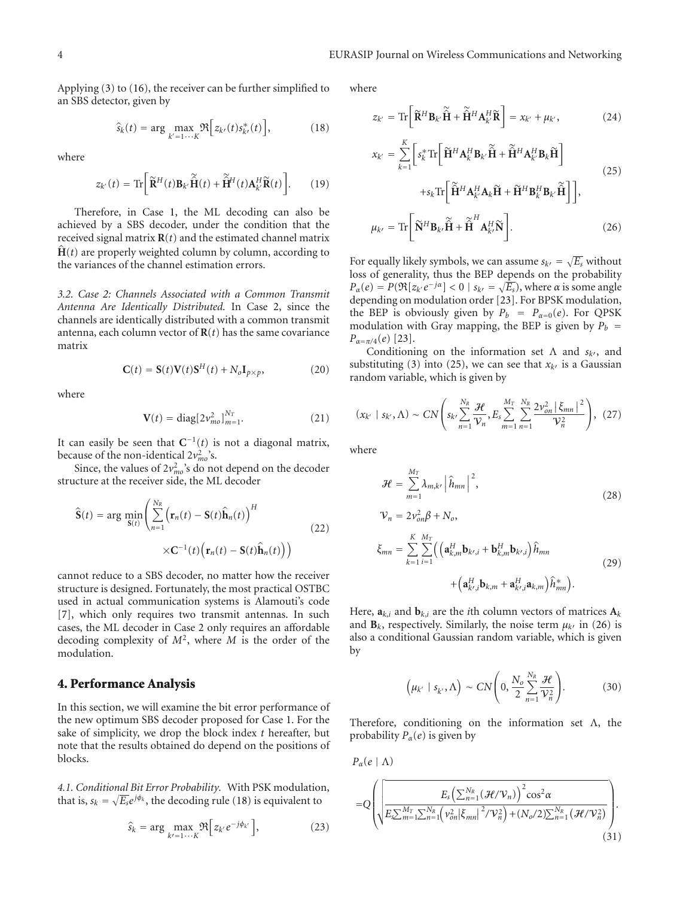Applying (3) to (16), the receiver can be further simplified to an SBS detector, given by

$$
\widehat{s}_{k}(t) = \arg\max_{k'=1\cdots K} \Re\Big[z_{k'}(t)s_{k'}^{*}(t)\Big],\tag{18}
$$

where

$$
z_{k'}(t) = \text{Tr}\bigg[\widetilde{\mathbf{R}}^{H}(t)\mathbf{B}_{k'}\widetilde{\mathbf{H}}(t) + \widetilde{\mathbf{H}}^{H}(t)\mathbf{A}_{k'}^{H}\widetilde{\mathbf{R}}(t)\bigg].
$$
 (19)

Therefore, in Case 1, the ML decoding can also be achieved by a SBS decoder, under the condition that the received signal matrix  $\mathbf{R}(t)$  and the estimated channel matrix  $\hat{H}(t)$  are properly weighted column by column, according to the variances of the channel estimation errors.

*3.2. Case 2: Channels Associated with a Common Transmit Antenna Are Identically Distributed.* In Case 2, since the channels are identically distributed with a common transmit antenna, each column vector of  **has the same covariance** matrix

$$
\mathbf{C}(t) = \mathbf{S}(t)\mathbf{V}(t)\mathbf{S}^{H}(t) + N_{o}\mathbf{I}_{p \times p},
$$
 (20)

where

$$
\mathbf{V}(t) = \text{diag}[2v_{mo}^2]_{m=1}^{N_T}.
$$
 (21)

It can easily be seen that  $C^{-1}(t)$  is not a diagonal matrix, because of the non-identical  $2v_{mo}^2$ 's.

Since, the values of  $2v_{mo}^2$ 's do not depend on the decoder structure at the receiver side, the ML decoder

$$
\widehat{\mathbf{S}}(t) = \arg \min_{\mathbf{S}(t)} \left( \sum_{n=1}^{N_R} \left( \mathbf{r}_n(t) - \mathbf{S}(t) \widehat{\mathbf{h}}_n(t) \right)^H \times \mathbf{C}^{-1}(t) \left( \mathbf{r}_n(t) - \mathbf{S}(t) \widehat{\mathbf{h}}_n(t) \right) \right)
$$
\n(22)

cannot reduce to a SBS decoder, no matter how the receiver structure is designed. Fortunately, the most practical OSTBC used in actual communication systems is Alamouti's code [7], which only requires two transmit antennas. In such cases, the ML decoder in Case 2 only requires an affordable decoding complexity of *M*2, where *M* is the order of the modulation.

# **4. Performance Analysis**

In this section, we will examine the bit error performance of the new optimum SBS decoder proposed for Case 1. For the sake of simplicity, we drop the block index *t* hereafter, but note that the results obtained do depend on the positions of blocks.

*4.1. Conditional Bit Error Probability.* With PSK modulation, that is,  $s_k = \sqrt{E_s}e^{j\phi_k}$ , the decoding rule (18) is equivalent to

$$
\widehat{s}_k = \arg \max_{k'=1 \cdots K} \Re \Big[ z_{k'} e^{-j\phi_{k'}} \Big], \tag{23}
$$

where

$$
z_{k'} = \text{Tr}\bigg[\widetilde{\mathbf{R}}^H \mathbf{B}_{k'} \widetilde{\hat{\mathbf{H}}} + \widetilde{\hat{\mathbf{H}}}^H \mathbf{A}_{k'}^H \widetilde{\mathbf{R}}\bigg] = x_{k'} + \mu_{k'},\tag{24}
$$

$$
x_{k'} = \sum_{k=1}^{K} \left[ s_k^* \text{Tr} \left[ \tilde{\mathbf{H}}^H \mathbf{A}_k^H \mathbf{B}_{k'} \tilde{\mathbf{H}} + \tilde{\mathbf{H}}^H \mathbf{A}_k^H \mathbf{B}_k \tilde{\mathbf{H}} \right] + s_k \text{Tr} \left[ \tilde{\mathbf{H}}^H \mathbf{A}_k^H \mathbf{A}_k \tilde{\mathbf{H}} + \tilde{\mathbf{H}}^H \mathbf{B}_k^H \mathbf{B}_{k'} \tilde{\mathbf{H}} \right] \right],
$$
\n
$$
\mu_{k'} = \text{Tr} \left[ \tilde{\mathbf{N}}^H \mathbf{B}_{k'} \tilde{\mathbf{H}} + \tilde{\mathbf{H}}^H \mathbf{A}_{k'}^H \tilde{\mathbf{N}} \right].
$$
\n(26)

For equally likely symbols, we can assume  $s_{k'} = \sqrt{E_s}$  without loss of generality, thus the BEP depends on the probability  $P_{\alpha}(e) = P(\Re[z_{k'}e^{-j\alpha}] < 0 \mid s_{k'} = \sqrt{E_s})$ , where  $\alpha$  is some angle depending on modulation order [23]. For BPSK modulation, the BEP is obviously given by  $P_b = P_{\alpha=0}(e)$ . For QPSK modulation with Gray mapping, the BEP is given by  $P_b$  = *Pα*=*π/*4(*e*) [23].

Conditioning on the information set Λ and *sk*, and substituting (3) into (25), we can see that  $x_{k}$  is a Gaussian random variable, which is given by

$$
(x_{k'} | s_{k'}, \Lambda) \sim CN\left(s_{k'} \sum_{n=1}^{N_R} \frac{\mathcal{H}}{\mathcal{V}_n}, E_s \sum_{m=1}^{M_T} \sum_{n=1}^{N_R} \frac{2 \nu_{on}^2 |\xi_{mn}|^2}{\mathcal{V}_n^2}\right), (27)
$$

where

$$
\mathcal{H} = \sum_{m=1}^{M_T} \lambda_{m,k'} \left| \hat{h}_{mn} \right|^2, \tag{28}
$$

$$
\mathcal{V}_n = 2v_{on}^2 \beta + N_o,
$$
\n
$$
\xi_{mn} = \sum_{k=1}^K \sum_{i=1}^{M_T} \left( \left( \mathbf{a}_{k,m}^H \mathbf{b}_{k',i} + \mathbf{b}_{k,m}^H \mathbf{b}_{k',i} \right) \hat{h}_{mn} + \left( \mathbf{a}_{k',i}^H \mathbf{b}_{k,m} + \mathbf{a}_{k',i}^H \mathbf{a}_{k,m} \right) \hat{h}_{mn}^* \right).
$$
\n(29)

Here,  $a_{k,i}$  and  $b_{k,i}$  are the *i*th column vectors of matrices  $A_k$ and  $\mathbf{B}_k$ , respectively. Similarly, the noise term  $\mu_k$  in (26) is also a conditional Gaussian random variable, which is given by

$$
\left(\mu_{k'} \mid s_{k'}, \Lambda\right) \sim CN\left(0, \frac{N_o}{2} \sum_{n=1}^{N_R} \frac{\mathcal{H}}{\mathcal{V}_n^2}\right). \tag{30}
$$

Therefore, conditioning on the information set Λ, the probability  $P_\alpha(e)$  is given by

$$
P_{\alpha}(e \mid \Lambda) = Q \left( \sqrt{\frac{E_{s} \left( \sum_{n=1}^{N_{R}} (\mathcal{H}/\mathcal{V}_{n}) \right)^{2} \cos^{2} \alpha}{E_{s} \sum_{m=1}^{M_{T}} \sum_{n=1}^{N_{R}} (\nu_{on}^{2} \left| \xi_{mn} \right|^{2} / \mathcal{V}_{n}^{2}) + (N_{o}/2) \sum_{n=1}^{N_{R}} (\mathcal{H}/\mathcal{V}_{n}^{2})}} \right).
$$
\n(31)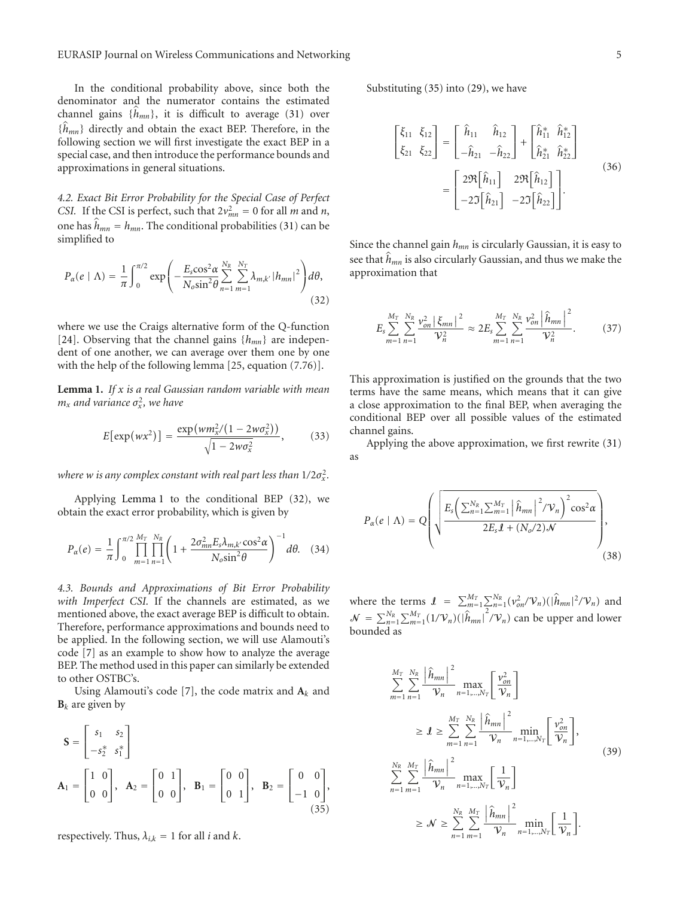In the conditional probability above, since both the denominator and the numerator contains the estimated channel gains  $\{h_{mn}\}$ , it is difficult to average (31) over {*h mn*} directly and obtain the exact BEP. Therefore, in the following section we will first investigate the exact BEP in a special case, and then introduce the performance bounds and approximations in general situations.

*4.2. Exact Bit Error Probability for the Special Case of Perfect CSI.* If the CSI is perfect, such that  $2v_{mn}^2 = 0$  for all *m* and *n*, one has  $h_{mn} = h_{mn}$ . The conditional probabilities (31) can be simplified to

$$
P_{\alpha}(e \mid \Lambda) = \frac{1}{\pi} \int_0^{\pi/2} \exp\left(-\frac{E_s \cos^2 \alpha}{N_o \sin^2 \theta} \sum_{n=1}^{N_R} \sum_{m=1}^{N_T} \lambda_{m,k'} |h_{mn}|^2\right) d\theta,
$$
\n(32)

where we use the Craigs alternative form of the Q-function [24]. Observing that the channel gains {*hmn*} are independent of one another, we can average over them one by one with the help of the following lemma [25, equation (7.76)].

**Lemma 1.** *If x is a real Gaussian random variable with mean*  $m_x$  and variance  $\sigma_x^2$ , we have

$$
E[\exp(wx^2)] = \frac{\exp(wm_x^2/(1-2w\sigma_x^2))}{\sqrt{1-2w\sigma_x^2}},
$$
 (33)

where  $w$  *is any complex constant with real part less than*  $1/2\sigma_x^2$ *.* 

Applying Lemma 1 to the conditional BEP (32), we obtain the exact error probability, which is given by

$$
P_{\alpha}(e) = \frac{1}{\pi} \int_0^{\pi/2} \prod_{m=1}^{M_T} \prod_{n=1}^{N_R} \left( 1 + \frac{2\sigma_{mn}^2 E_s \lambda_{m,k'} \cos^2 \alpha}{N_o \sin^2 \theta} \right)^{-1} d\theta. \quad (34)
$$

*4.3. Bounds and Approximations of Bit Error Probability with Imperfect CSI.* If the channels are estimated, as we mentioned above, the exact average BEP is difficult to obtain. Therefore, performance approximations and bounds need to be applied. In the following section, we will use Alamouti's code [7] as an example to show how to analyze the average BEP. The method used in this paper can similarly be extended to other OSTBC's.

Using Alamouti's code [7], the code matrix and  $A_k$  and  **are given by** 

$$
\mathbf{S} = \begin{bmatrix} s_1 & s_2 \\ -s_2^* & s_1^* \end{bmatrix}
$$
  
\n
$$
\mathbf{A}_1 = \begin{bmatrix} 1 & 0 \\ 0 & 0 \end{bmatrix}, \quad \mathbf{A}_2 = \begin{bmatrix} 0 & 1 \\ 0 & 0 \end{bmatrix}, \quad \mathbf{B}_1 = \begin{bmatrix} 0 & 0 \\ 0 & 1 \end{bmatrix}, \quad \mathbf{B}_2 = \begin{bmatrix} 0 & 0 \\ -1 & 0 \end{bmatrix},
$$
  
\n(35)

respectively. Thus,  $\lambda_{i,k} = 1$  for all *i* and *k*.

Substituting (35) into (29), we have

$$
\begin{bmatrix} \xi_{11} & \xi_{12} \\ \xi_{21} & \xi_{22} \end{bmatrix} = \begin{bmatrix} \hat{h}_{11} & \hat{h}_{12} \\ -\hat{h}_{21} & -\hat{h}_{22} \end{bmatrix} + \begin{bmatrix} \hat{h}_{11}^{*} & \hat{h}_{12}^{*} \\ \hat{h}_{21}^{*} & \hat{h}_{22}^{*} \end{bmatrix}
$$

$$
= \begin{bmatrix} 2\Re[\hat{h}_{11}] & 2\Re[\hat{h}_{12}] \\ -2\Im[\hat{h}_{21}] & -2\Im[\hat{h}_{22}] \end{bmatrix}.
$$
(36)

Since the channel gain  $h_{mn}$  is circularly Gaussian, it is easy to see that *h mn* is also circularly Gaussian, and thus we make the approximation that

$$
E_s \sum_{m=1}^{M_T} \sum_{n=1}^{N_R} \frac{\nu_{on}^2 \left| \xi_{mn} \right|^2}{\mathcal{V}_n^2} \approx 2 E_s \sum_{m=1}^{M_T} \sum_{n=1}^{N_R} \frac{\nu_{on}^2 \left| \hat{h}_{mn} \right|^2}{\mathcal{V}_n^2}.
$$
 (37)

This approximation is justified on the grounds that the two terms have the same means, which means that it can give a close approximation to the final BEP, when averaging the conditional BEP over all possible values of the estimated channel gains.

Applying the above approximation, we first rewrite (31) as

$$
P_{\alpha}(e \mid \Lambda) = Q\left(\sqrt{\frac{E_s\left(\sum_{n=1}^{N_R}\sum_{m=1}^{M_T}\left|\widehat{h}_{mn}\right|^2/\mathcal{V}_n\right)^2\cos^2\alpha}{2E_s\mathbf{I} + (N_o/2)\mathcal{N}}}\right),\tag{38}
$$

where the terms  $\mathcal{I} = \sum_{m=1}^{M_T} \sum_{n=1}^{N_R} (\nu_{on}^2/\mathcal{V}_n)(\hat{h}_{mn}|^2/\mathcal{V}_n)$  and  $\mathcal{N} = \sum_{n=1}^{N_R} \sum_{m=1}^{M_T} (1/\mathcal{V}_n)(|\hat{h}_{mn}|)$  $\int$ <sup>2</sup>/ $V_n$ ) can be upper and lower bounded as

$$
\sum_{m=1}^{M_T} \sum_{n=1}^{N_R} \frac{\left| \hat{h}_{mn} \right|^2}{\mathcal{V}_n} \max_{n=1,\dots,N_T} \left[ \frac{\nu_{on}^2}{\mathcal{V}_n} \right]
$$
\n
$$
\geq \mathbf{1} \geq \sum_{m=1}^{M_T} \sum_{n=1}^{N_R} \frac{\left| \hat{h}_{mn} \right|^2}{\mathcal{V}_n} \min_{n=1,\dots,N_T} \left[ \frac{\nu_{on}^2}{\mathcal{V}_n} \right],
$$
\n
$$
\sum_{n=1}^{N_R} \sum_{m=1}^{M_T} \frac{\left| \hat{h}_{mn} \right|^2}{\mathcal{V}_n} \max_{n=1,\dots,N_T} \left[ \frac{1}{\mathcal{V}_n} \right]
$$
\n
$$
\geq \mathcal{N} \geq \sum_{n=1}^{N_R} \sum_{m=1}^{M_T} \frac{\left| \hat{h}_{mn} \right|^2}{\mathcal{V}_n} \min_{n=1,\dots,N_T} \left[ \frac{1}{\mathcal{V}_n} \right].
$$
\n(39)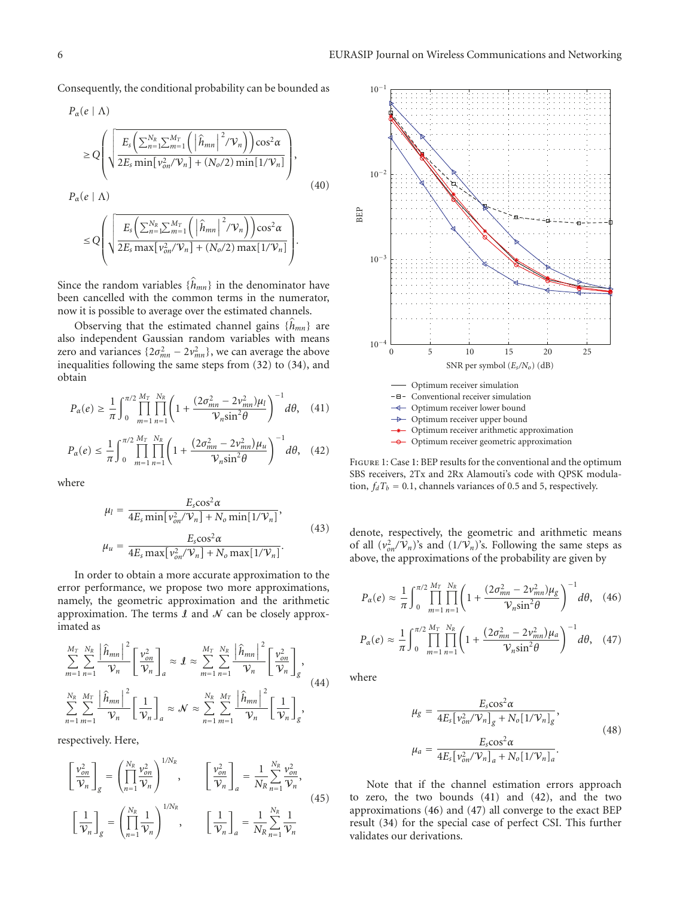Consequently, the conditional probability can be bounded as

$$
P_{\alpha}(e | \Lambda)
$$
\n
$$
\geq Q \left( \sqrt{\frac{E_s \left( \sum_{n=1}^{N_R} \sum_{m=1}^{M_T} \left( \left| \hat{h}_{mn} \right|^2 / \mathcal{V}_n \right) \right) \cos^2 \alpha}{2E_s \min[v_{on}^2 / \mathcal{V}_n] + (N_o/2) \min[1 / \mathcal{V}_n]} \right),
$$
\n
$$
P_{\alpha}(e | \Lambda)
$$
\n
$$
\leq Q \left( \sqrt{\frac{E_s \left( \sum_{n=1}^{N_R} \sum_{m=1}^{M_T} \left( \left| \hat{h}_{mn} \right|^2 / \mathcal{V}_n \right) \right) \cos^2 \alpha}{2E_s \max[v_{on}^2 / \mathcal{V}_n] + (N_o/2) \max[1 / \mathcal{V}_n]} \right).
$$
\n(40)

Since the random variables  $\{h_{mn}\}\$ in the denominator have been cancelled with the common terms in the numerator, now it is possible to average over the estimated channels.

Observing that the estimated channel gains {*h mn*} are also independent Gaussian random variables with means zero and variances  $\{2\sigma_{mn}^2 - 2v_{mn}^2\}$ , we can average the above inequalities following the same steps from (32) to (34), and obtain

$$
P_{\alpha}(e) \ge \frac{1}{\pi} \int_0^{\pi/2} \prod_{m=1}^{M_T} \prod_{n=1}^{N_R} \left( 1 + \frac{(2\sigma_{mn}^2 - 2v_{mn}^2)\mu_l}{\mathcal{V}_n \sin^2 \theta} \right)^{-1} d\theta, \quad (41)
$$

$$
P_{\alpha}(e) \leq \frac{1}{\pi} \int_0^{\pi/2} \prod_{m=1}^{M_T} \prod_{n=1}^{N_R} \left( 1 + \frac{(2\sigma_{mn}^2 - 2\nu_{mn}^2)\mu_u}{\mathcal{V}_n \sin^2 \theta} \right)^{-1} d\theta, \quad (42)
$$

where

$$
\mu_l = \frac{E_s \cos^2 \alpha}{4E_s \min[\nu_{on}^2 / \mathcal{V}_n] + N_o \min[1/\mathcal{V}_n]},
$$
  

$$
\mu_u = \frac{E_s \cos^2 \alpha}{4E_s \max[\nu_{on}^2 / \mathcal{V}_n] + N_o \max[1/\mathcal{V}_n]}.
$$
(43)

In order to obtain a more accurate approximation to the error performance, we propose two more approximations, namely, the geometric approximation and the arithmetic approximation. The terms  $\mathcal I$  and  $\mathcal N$  can be closely approximated as

$$
\sum_{m=1}^{M_T} \sum_{n=1}^{N_R} \frac{\left| \hat{h}_{mn} \right|^2}{\mathcal{V}_n} \left[ \frac{\nu_{on}^2}{\mathcal{V}_n} \right]_a \approx \mathcal{I} \approx \sum_{m=1}^{M_T} \sum_{n=1}^{N_R} \frac{\left| \hat{h}_{mn} \right|^2}{\mathcal{V}_n} \left[ \frac{\nu_{on}^2}{\mathcal{V}_n} \right]_g,
$$
\n
$$
\sum_{n=1}^{N_R} \sum_{m=1}^{M_T} \frac{\left| \hat{h}_{mn} \right|^2}{\mathcal{V}_n} \left[ \frac{1}{\mathcal{V}_n} \right]_a \approx \mathcal{N} \approx \sum_{n=1}^{N_R} \sum_{m=1}^{M_T} \frac{\left| \hat{h}_{mn} \right|^2}{\mathcal{V}_n} \left[ \frac{1}{\mathcal{V}_n} \right]_g,
$$
\n(44)

respectively. Here,

$$
\begin{aligned}\n\left[\frac{\nu_{on}^2}{\mathcal{V}_n}\right]_g &= \left(\prod_{n=1}^{N_R} \frac{\nu_{on}^2}{\mathcal{V}_n}\right)^{1/N_R}, \qquad \left[\frac{\nu_{on}^2}{\mathcal{V}_n}\right]_a = \frac{1}{N_R} \sum_{n=1}^{N_R} \frac{\nu_{on}^2}{\mathcal{V}_n}, \\
\left[\frac{1}{\mathcal{V}_n}\right]_g &= \left(\prod_{n=1}^{N_R} \frac{1}{\mathcal{V}_n}\right)^{1/N_R}, \qquad \left[\frac{1}{\mathcal{V}_n}\right]_a = \frac{1}{N_R} \sum_{n=1}^{N_R} \frac{1}{\mathcal{V}_n}\n\end{aligned} \tag{45}
$$



Figure 1: Case 1: BEP results for the conventional and the optimum SBS receivers, 2Tx and 2Rx Alamouti's code with QPSK modulation,  $f_dT_b = 0.1$ , channels variances of 0.5 and 5, respectively.

denote, respectively, the geometric and arithmetic means of all  $(v_{on}^2/V_n)$ 's and  $(1/V_n)$ 's. Following the same steps as above, the approximations of the probability are given by

$$
P_{\alpha}(e) \approx \frac{1}{\pi} \int_0^{\pi/2} \prod_{m=1}^{M_T} \prod_{n=1}^{N_R} \left( 1 + \frac{(2\sigma_{mn}^2 - 2\nu_{mn}^2)\mu_g}{\mathcal{V}_n \sin^2 \theta} \right)^{-1} d\theta, \quad (46)
$$

$$
P_{\alpha}(e) \approx \frac{1}{\pi} \int_0^{\pi/2} \prod_{m=1}^{M_T} \prod_{n=1}^{N_R} \left( 1 + \frac{(2\sigma_{mn}^2 - 2\nu_{mn}^2)\mu_a}{\mathcal{V}_n \sin^2 \theta} \right)^{-1} d\theta, \quad (47)
$$

where

$$
\mu_g = \frac{E_s \cos^2 \alpha}{4E_s \left[\nu_{on}^2 / \mathcal{V}_n\right]_g + N_o \left[1 / \mathcal{V}_n\right]_g},
$$
\n
$$
\mu_a = \frac{E_s \cos^2 \alpha}{4E_s \left[\nu_{on}^2 / \mathcal{V}_n\right]_a + N_o \left[1 / \mathcal{V}_n\right]_a}.
$$
\n(48)

Note that if the channel estimation errors approach to zero, the two bounds (41) and (42), and the two approximations (46) and (47) all converge to the exact BEP result (34) for the special case of perfect CSI. This further validates our derivations.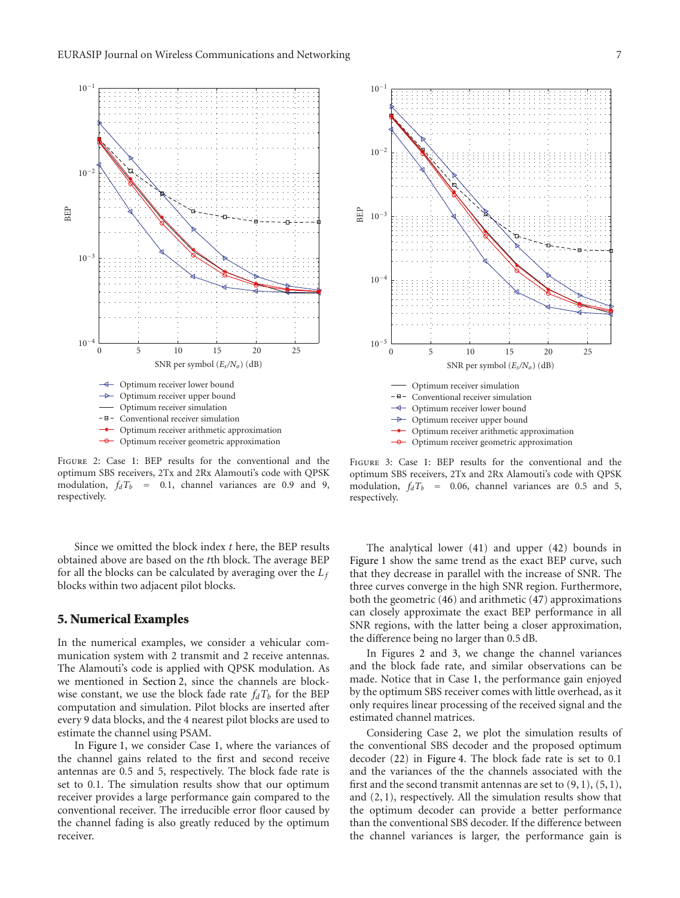

Figure 2: Case 1: BEP results for the conventional and the optimum SBS receivers, 2Tx and 2Rx Alamouti's code with QPSK modulation,  $f_dT_b$  = 0.1, channel variances are 0.9 and 9, respectively.

Since we omitted the block index *t* here, the BEP results obtained above are based on the *t*th block. The average BEP for all the blocks can be calculated by averaging over the *Lf* blocks within two adjacent pilot blocks.

## **5. Numerical Examples**

In the numerical examples, we consider a vehicular communication system with 2 transmit and 2 receive antennas. The Alamouti's code is applied with QPSK modulation. As we mentioned in Section 2, since the channels are blockwise constant, we use the block fade rate  $f_dT_b$  for the BEP computation and simulation. Pilot blocks are inserted after every 9 data blocks, and the 4 nearest pilot blocks are used to estimate the channel using PSAM.

In Figure 1, we consider Case 1, where the variances of the channel gains related to the first and second receive antennas are 0*.*5 and 5, respectively. The block fade rate is set to 0*.*1. The simulation results show that our optimum receiver provides a large performance gain compared to the conventional receiver. The irreducible error floor caused by the channel fading is also greatly reduced by the optimum receiver.



optimum SBS receivers, 2Tx and 2Rx Alamouti's code with QPSK modulation,  $f_dT_b$  = 0.06, channel variances are 0.5 and 5, respectively.

The analytical lower (41) and upper (42) bounds in Figure 1 show the same trend as the exact BEP curve, such that they decrease in parallel with the increase of SNR. The three curves converge in the high SNR region. Furthermore, both the geometric (46) and arithmetic (47) approximations can closely approximate the exact BEP performance in all SNR regions, with the latter being a closer approximation, the difference being no larger than 0.5 dB.

In Figures 2 and 3, we change the channel variances and the block fade rate, and similar observations can be made. Notice that in Case 1, the performance gain enjoyed by the optimum SBS receiver comes with little overhead, as it only requires linear processing of the received signal and the estimated channel matrices.

Considering Case 2, we plot the simulation results of the conventional SBS decoder and the proposed optimum decoder (22) in Figure 4. The block fade rate is set to 0*.*1 and the variances of the the channels associated with the first and the second transmit antennas are set to  $(9, 1)$ ,  $(5, 1)$ , and (2, 1), respectively. All the simulation results show that the optimum decoder can provide a better performance than the conventional SBS decoder. If the difference between the channel variances is larger, the performance gain is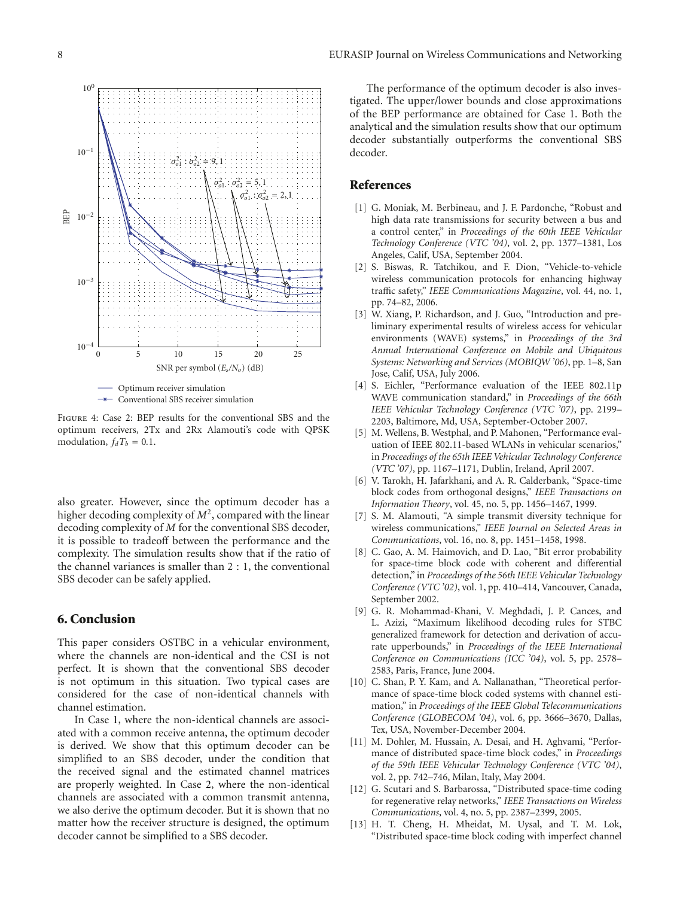

Figure 4: Case 2: BEP results for the conventional SBS and the optimum receivers, 2Tx and 2Rx Alamouti's code with QPSK modulation,  $f_dT_b = 0.1$ .

also greater. However, since the optimum decoder has a higher decoding complexity of *M*2, compared with the linear decoding complexity of *M* for the conventional SBS decoder, it is possible to tradeoff between the performance and the complexity. The simulation results show that if the ratio of the channel variances is smaller than 2 : 1, the conventional SBS decoder can be safely applied.

# **6. Conclusion**

This paper considers OSTBC in a vehicular environment, where the channels are non-identical and the CSI is not perfect. It is shown that the conventional SBS decoder is not optimum in this situation. Two typical cases are considered for the case of non-identical channels with channel estimation.

In Case 1, where the non-identical channels are associated with a common receive antenna, the optimum decoder is derived. We show that this optimum decoder can be simplified to an SBS decoder, under the condition that the received signal and the estimated channel matrices are properly weighted. In Case 2, where the non-identical channels are associated with a common transmit antenna, we also derive the optimum decoder. But it is shown that no matter how the receiver structure is designed, the optimum decoder cannot be simplified to a SBS decoder.

The performance of the optimum decoder is also investigated. The upper/lower bounds and close approximations of the BEP performance are obtained for Case 1. Both the analytical and the simulation results show that our optimum decoder substantially outperforms the conventional SBS decoder.

# **References**

- [1] G. Moniak, M. Berbineau, and J. F. Pardonche, "Robust and high data rate transmissions for security between a bus and a control center," in *Proceedings of the 60th IEEE Vehicular Technology Conference (VTC '04)*, vol. 2, pp. 1377–1381, Los Angeles, Calif, USA, September 2004.
- [2] S. Biswas, R. Tatchikou, and F. Dion, "Vehicle-to-vehicle wireless communication protocols for enhancing highway traffic safety," *IEEE Communications Magazine*, vol. 44, no. 1, pp. 74–82, 2006.
- [3] W. Xiang, P. Richardson, and J. Guo, "Introduction and preliminary experimental results of wireless access for vehicular environments (WAVE) systems," in *Proceedings of the 3rd Annual International Conference on Mobile and Ubiquitous Systems: Networking and Services (MOBIQW '06)*, pp. 1–8, San Jose, Calif, USA, July 2006.
- [4] S. Eichler, "Performance evaluation of the IEEE 802.11p WAVE communication standard," in *Proceedings of the 66th IEEE Vehicular Technology Conference (VTC '07)*, pp. 2199– 2203, Baltimore, Md, USA, September-October 2007.
- [5] M. Wellens, B. Westphal, and P. Mahonen, "Performance evaluation of IEEE 802.11-based WLANs in vehicular scenarios," in *Proceedings of the 65th IEEE Vehicular Technology Conference (VTC '07)*, pp. 1167–1171, Dublin, Ireland, April 2007.
- [6] V. Tarokh, H. Jafarkhani, and A. R. Calderbank, "Space-time block codes from orthogonal designs," *IEEE Transactions on Information Theory*, vol. 45, no. 5, pp. 1456–1467, 1999.
- [7] S. M. Alamouti, "A simple transmit diversity technique for wireless communications," *IEEE Journal on Selected Areas in Communications*, vol. 16, no. 8, pp. 1451–1458, 1998.
- [8] C. Gao, A. M. Haimovich, and D. Lao, "Bit error probability for space-time block code with coherent and differential detection," in *Proceedings of the 56th IEEE Vehicular Technology Conference (VTC '02)*, vol. 1, pp. 410–414, Vancouver, Canada, September 2002.
- [9] G. R. Mohammad-Khani, V. Meghdadi, J. P. Cances, and L. Azizi, "Maximum likelihood decoding rules for STBC generalized framework for detection and derivation of accurate upperbounds," in *Proceedings of the IEEE International Conference on Communications (ICC '04)*, vol. 5, pp. 2578– 2583, Paris, France, June 2004.
- [10] C. Shan, P. Y. Kam, and A. Nallanathan, "Theoretical performance of space-time block coded systems with channel estimation," in *Proceedings of the IEEE Global Telecommunications Conference (GLOBECOM '04)*, vol. 6, pp. 3666–3670, Dallas, Tex, USA, November-December 2004.
- [11] M. Dohler, M. Hussain, A. Desai, and H. Aghvami, "Performance of distributed space-time block codes," in *Proceedings of the 59th IEEE Vehicular Technology Conference (VTC '04)*, vol. 2, pp. 742–746, Milan, Italy, May 2004.
- [12] G. Scutari and S. Barbarossa, "Distributed space-time coding for regenerative relay networks," *IEEE Transactions on Wireless Communications*, vol. 4, no. 5, pp. 2387–2399, 2005.
- [13] H. T. Cheng, H. Mheidat, M. Uysal, and T. M. Lok, "Distributed space-time block coding with imperfect channel